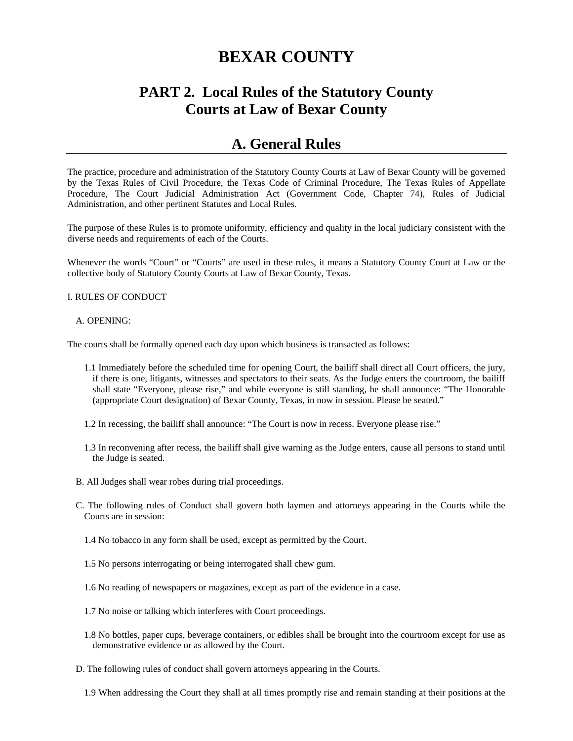# **BEXAR COUNTY**

# **PART 2. Local Rules of the Statutory County Courts at Law of Bexar County**

# **A. General Rules**

The practice, procedure and administration of the Statutory County Courts at Law of Bexar County will be governed by the Texas Rules of Civil Procedure, the Texas Code of Criminal Procedure, The Texas Rules of Appellate Procedure, The Court Judicial Administration Act (Government Code, Chapter 74), Rules of Judicial Administration, and other pertinent Statutes and Local Rules.

The purpose of these Rules is to promote uniformity, efficiency and quality in the local judiciary consistent with the diverse needs and requirements of each of the Courts.

Whenever the words "Court" or "Courts" are used in these rules, it means a Statutory County Court at Law or the collective body of Statutory County Courts at Law of Bexar County, Texas.

#### I. RULES OF CONDUCT

#### A. OPENING:

The courts shall be formally opened each day upon which business is transacted as follows:

- 1.1 Immediately before the scheduled time for opening Court, the bailiff shall direct all Court officers, the jury, if there is one, litigants, witnesses and spectators to their seats. As the Judge enters the courtroom, the bailiff shall state "Everyone, please rise," and while everyone is still standing, he shall announce: "The Honorable (appropriate Court designation) of Bexar County, Texas, in now in session. Please be seated."
- 1.2 In recessing, the bailiff shall announce: "The Court is now in recess. Everyone please rise."
- 1.3 In reconvening after recess, the bailiff shall give warning as the Judge enters, cause all persons to stand until the Judge is seated.
- B. All Judges shall wear robes during trial proceedings.
- C. The following rules of Conduct shall govern both laymen and attorneys appearing in the Courts while the Courts are in session:
	- 1.4 No tobacco in any form shall be used, except as permitted by the Court.
	- 1.5 No persons interrogating or being interrogated shall chew gum.
	- 1.6 No reading of newspapers or magazines, except as part of the evidence in a case.
	- 1.7 No noise or talking which interferes with Court proceedings.
	- 1.8 No bottles, paper cups, beverage containers, or edibles shall be brought into the courtroom except for use as demonstrative evidence or as allowed by the Court.
- D. The following rules of conduct shall govern attorneys appearing in the Courts.
	- 1.9 When addressing the Court they shall at all times promptly rise and remain standing at their positions at the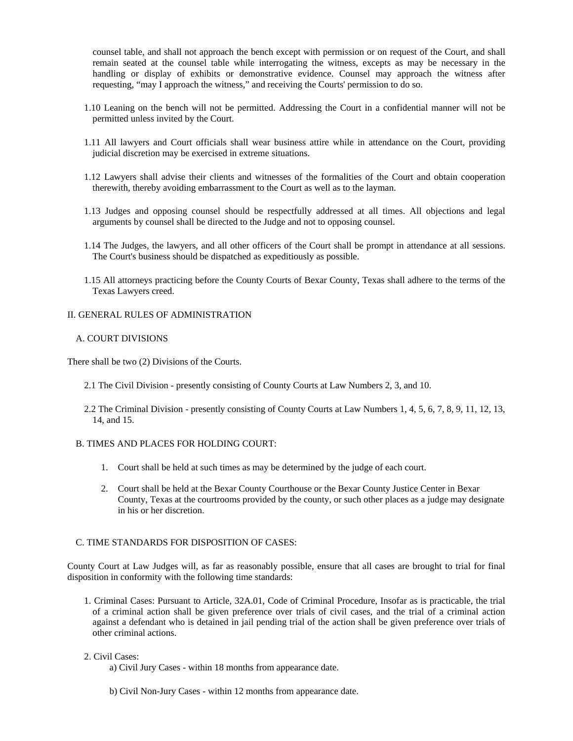counsel table, and shall not approach the bench except with permission or on request of the Court, and shall remain seated at the counsel table while interrogating the witness, excepts as may be necessary in the handling or display of exhibits or demonstrative evidence. Counsel may approach the witness after requesting, "may I approach the witness," and receiving the Courts' permission to do so.

- 1.10 Leaning on the bench will not be permitted. Addressing the Court in a confidential manner will not be permitted unless invited by the Court.
- 1.11 All lawyers and Court officials shall wear business attire while in attendance on the Court, providing judicial discretion may be exercised in extreme situations.
- 1.12 Lawyers shall advise their clients and witnesses of the formalities of the Court and obtain cooperation therewith, thereby avoiding embarrassment to the Court as well as to the layman.
- 1.13 Judges and opposing counsel should be respectfully addressed at all times. All objections and legal arguments by counsel shall be directed to the Judge and not to opposing counsel.
- 1.14 The Judges, the lawyers, and all other officers of the Court shall be prompt in attendance at all sessions. The Court's business should be dispatched as expeditiously as possible.
- 1.15 All attorneys practicing before the County Courts of Bexar County, Texas shall adhere to the terms of the Texas Lawyers creed.

#### II. GENERAL RULES OF ADMINISTRATION

#### A. COURT DIVISIONS

There shall be two (2) Divisions of the Courts.

- 2.1 The Civil Division presently consisting of County Courts at Law Numbers 2, 3, and 10.
- 2.2 The Criminal Division presently consisting of County Courts at Law Numbers 1, 4, 5, 6, 7, 8, 9, 11, 12, 13, 14, and 15.
- B. TIMES AND PLACES FOR HOLDING COURT:
	- 1. Court shall be held at such times as may be determined by the judge of each court.
	- 2. Court shall be held at the Bexar County Courthouse or the Bexar County Justice Center in Bexar County, Texas at the courtrooms provided by the county, or such other places as a judge may designate in his or her discretion.

# C. TIME STANDARDS FOR DISPOSITION OF CASES:

County Court at Law Judges will, as far as reasonably possible, ensure that all cases are brought to trial for final disposition in conformity with the following time standards:

1. Criminal Cases: Pursuant to Article, 32A.01, Code of Criminal Procedure, Insofar as is practicable, the trial of a criminal action shall be given preference over trials of civil cases, and the trial of a criminal action against a defendant who is detained in jail pending trial of the action shall be given preference over trials of other criminal actions.

# 2. Civil Cases:

- a) Civil Jury Cases within 18 months from appearance date.
- b) Civil Non-Jury Cases within 12 months from appearance date.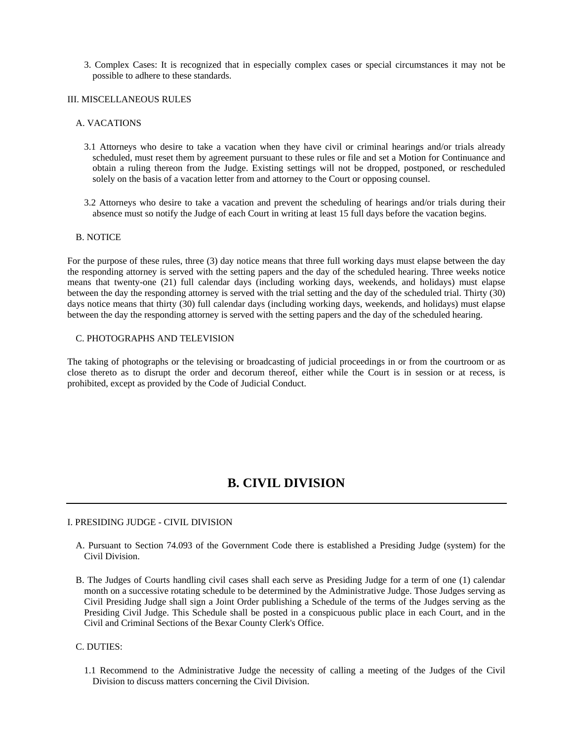3. Complex Cases: It is recognized that in especially complex cases or special circumstances it may not be possible to adhere to these standards.

#### III. MISCELLANEOUS RULES

#### A. VACATIONS

- 3.1 Attorneys who desire to take a vacation when they have civil or criminal hearings and/or trials already scheduled, must reset them by agreement pursuant to these rules or file and set a Motion for Continuance and obtain a ruling thereon from the Judge. Existing settings will not be dropped, postponed, or rescheduled solely on the basis of a vacation letter from and attorney to the Court or opposing counsel.
- 3.2 Attorneys who desire to take a vacation and prevent the scheduling of hearings and/or trials during their absence must so notify the Judge of each Court in writing at least 15 full days before the vacation begins.

# B. NOTICE

For the purpose of these rules, three (3) day notice means that three full working days must elapse between the day the responding attorney is served with the setting papers and the day of the scheduled hearing. Three weeks notice means that twenty-one (21) full calendar days (including working days, weekends, and holidays) must elapse between the day the responding attorney is served with the trial setting and the day of the scheduled trial. Thirty (30) days notice means that thirty (30) full calendar days (including working days, weekends, and holidays) must elapse between the day the responding attorney is served with the setting papers and the day of the scheduled hearing.

#### C. PHOTOGRAPHS AND TELEVISION

The taking of photographs or the televising or broadcasting of judicial proceedings in or from the courtroom or as close thereto as to disrupt the order and decorum thereof, either while the Court is in session or at recess, is prohibited, except as provided by the Code of Judicial Conduct.

# **B. CIVIL DIVISION**

#### I. PRESIDING JUDGE - CIVIL DIVISION

- A. Pursuant to Section 74.093 of the Government Code there is established a Presiding Judge (system) for the Civil Division.
- B. The Judges of Courts handling civil cases shall each serve as Presiding Judge for a term of one (1) calendar month on a successive rotating schedule to be determined by the Administrative Judge. Those Judges serving as Civil Presiding Judge shall sign a Joint Order publishing a Schedule of the terms of the Judges serving as the Presiding Civil Judge. This Schedule shall be posted in a conspicuous public place in each Court, and in the Civil and Criminal Sections of the Bexar County Clerk's Office.

C. DUTIES:

1.1 Recommend to the Administrative Judge the necessity of calling a meeting of the Judges of the Civil Division to discuss matters concerning the Civil Division.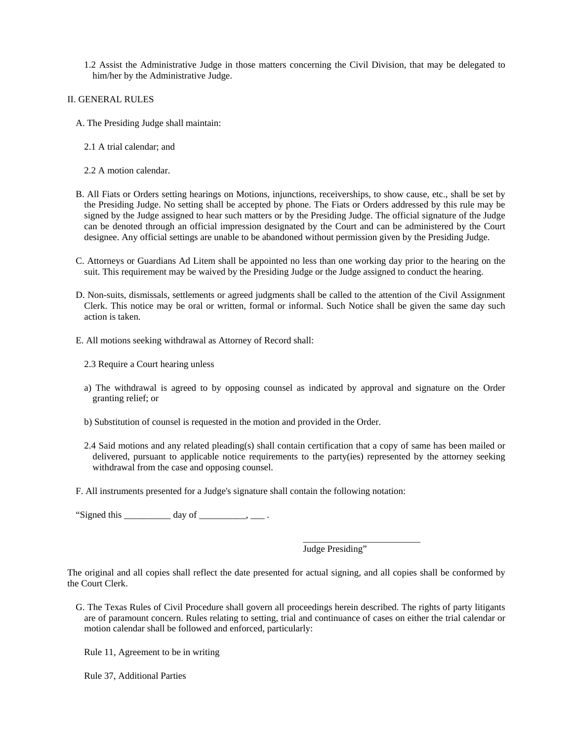- 1.2 Assist the Administrative Judge in those matters concerning the Civil Division, that may be delegated to him/her by the Administrative Judge.
- II. GENERAL RULES
	- A. The Presiding Judge shall maintain:
		- 2.1 A trial calendar; and
		- 2.2 A motion calendar.
	- B. All Fiats or Orders setting hearings on Motions, injunctions, receiverships, to show cause, etc., shall be set by the Presiding Judge. No setting shall be accepted by phone. The Fiats or Orders addressed by this rule may be signed by the Judge assigned to hear such matters or by the Presiding Judge. The official signature of the Judge can be denoted through an official impression designated by the Court and can be administered by the Court designee. Any official settings are unable to be abandoned without permission given by the Presiding Judge.
	- C. Attorneys or Guardians Ad Litem shall be appointed no less than one working day prior to the hearing on the suit. This requirement may be waived by the Presiding Judge or the Judge assigned to conduct the hearing.
	- D. Non-suits, dismissals, settlements or agreed judgments shall be called to the attention of the Civil Assignment Clerk. This notice may be oral or written, formal or informal. Such Notice shall be given the same day such action is taken.
	- E. All motions seeking withdrawal as Attorney of Record shall:
		- 2.3 Require a Court hearing unless
		- a) The withdrawal is agreed to by opposing counsel as indicated by approval and signature on the Order granting relief; or
		- b) Substitution of counsel is requested in the motion and provided in the Order.
		- 2.4 Said motions and any related pleading(s) shall contain certification that a copy of same has been mailed or delivered, pursuant to applicable notice requirements to the party(ies) represented by the attorney seeking withdrawal from the case and opposing counsel.
	- F. All instruments presented for a Judge's signature shall contain the following notation:

 $\frac{1}{2}$  , and the set of the set of the set of the set of the set of the set of the set of the set of the set of the set of the set of the set of the set of the set of the set of the set of the set of the set of the set

"Signed this  $\_\_\_\_\_\_\_\$  day of  $\_\_\_\_\_\_\_\$ .

Judge Presiding"

The original and all copies shall reflect the date presented for actual signing, and all copies shall be conformed by the Court Clerk.

G. The Texas Rules of Civil Procedure shall govern all proceedings herein described. The rights of party litigants are of paramount concern. Rules relating to setting, trial and continuance of cases on either the trial calendar or motion calendar shall be followed and enforced, particularly:

Rule 11, Agreement to be in writing

Rule 37, Additional Parties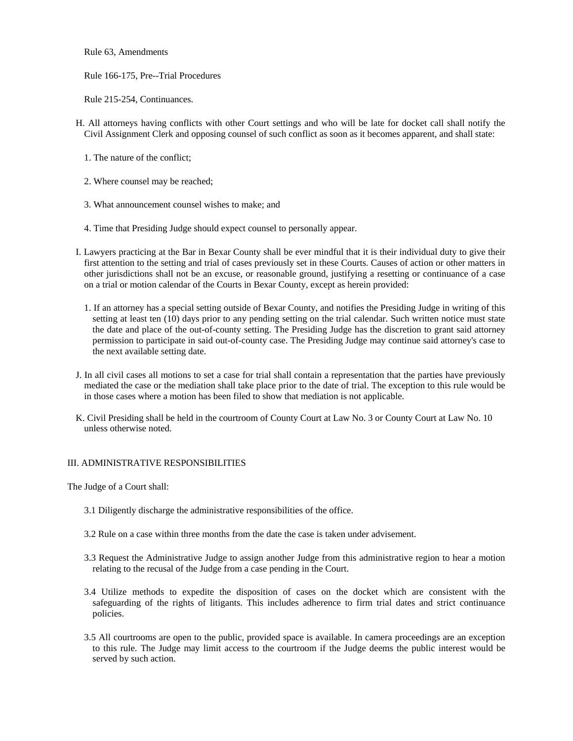Rule 63, Amendments

Rule 166-175, Pre--Trial Procedures

Rule 215-254, Continuances.

- H. All attorneys having conflicts with other Court settings and who will be late for docket call shall notify the Civil Assignment Clerk and opposing counsel of such conflict as soon as it becomes apparent, and shall state:
	- 1. The nature of the conflict;
	- 2. Where counsel may be reached;
	- 3. What announcement counsel wishes to make; and
	- 4. Time that Presiding Judge should expect counsel to personally appear.
- I. Lawyers practicing at the Bar in Bexar County shall be ever mindful that it is their individual duty to give their first attention to the setting and trial of cases previously set in these Courts. Causes of action or other matters in other jurisdictions shall not be an excuse, or reasonable ground, justifying a resetting or continuance of a case on a trial or motion calendar of the Courts in Bexar County, except as herein provided:
	- 1. If an attorney has a special setting outside of Bexar County, and notifies the Presiding Judge in writing of this setting at least ten (10) days prior to any pending setting on the trial calendar. Such written notice must state the date and place of the out-of-county setting. The Presiding Judge has the discretion to grant said attorney permission to participate in said out-of-county case. The Presiding Judge may continue said attorney's case to the next available setting date.
- J. In all civil cases all motions to set a case for trial shall contain a representation that the parties have previously mediated the case or the mediation shall take place prior to the date of trial. The exception to this rule would be in those cases where a motion has been filed to show that mediation is not applicable.
- K. Civil Presiding shall be held in the courtroom of County Court at Law No. 3 or County Court at Law No. 10 unless otherwise noted.

# III. ADMINISTRATIVE RESPONSIBILITIES

The Judge of a Court shall:

- 3.1 Diligently discharge the administrative responsibilities of the office.
- 3.2 Rule on a case within three months from the date the case is taken under advisement.
- 3.3 Request the Administrative Judge to assign another Judge from this administrative region to hear a motion relating to the recusal of the Judge from a case pending in the Court.
- 3.4 Utilize methods to expedite the disposition of cases on the docket which are consistent with the safeguarding of the rights of litigants. This includes adherence to firm trial dates and strict continuance policies.
- 3.5 All courtrooms are open to the public, provided space is available. In camera proceedings are an exception to this rule. The Judge may limit access to the courtroom if the Judge deems the public interest would be served by such action.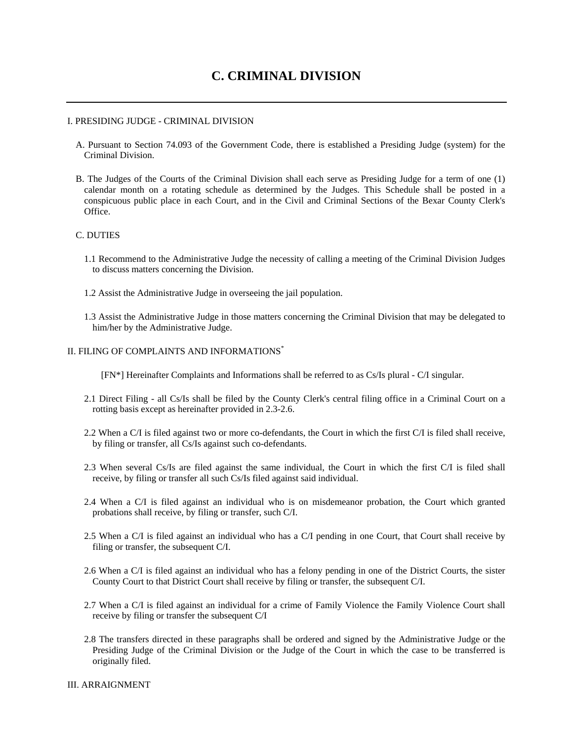# **C. CRIMINAL DIVISION**

#### I. PRESIDING JUDGE - CRIMINAL DIVISION

- A. Pursuant to Section 74.093 of the Government Code, there is established a Presiding Judge (system) for the Criminal Division.
- B. The Judges of the Courts of the Criminal Division shall each serve as Presiding Judge for a term of one (1) calendar month on a rotating schedule as determined by the Judges. This Schedule shall be posted in a conspicuous public place in each Court, and in the Civil and Criminal Sections of the Bexar County Clerk's Office.

#### C. DUTIES

- 1.1 Recommend to the Administrative Judge the necessity of calling a meeting of the Criminal Division Judges to discuss matters concerning the Division.
- 1.2 Assist the Administrative Judge in overseeing the jail population.
- 1.3 Assist the Administrative Judge in those matters concerning the Criminal Division that may be delegated to him/her by the Administrative Judge.

#### II. FILING OF COMPLAINTS AND INFORMATIONS\*

[FN\*] Hereinafter Complaints and Informations shall be referred to as Cs/Is plural - C/I singular.

- 2.1 Direct Filing all Cs/Is shall be filed by the County Clerk's central filing office in a Criminal Court on a rotting basis except as hereinafter provided in 2.3-2.6.
- 2.2 When a C/I is filed against two or more co-defendants, the Court in which the first C/I is filed shall receive, by filing or transfer, all Cs/Is against such co-defendants.
- 2.3 When several Cs/Is are filed against the same individual, the Court in which the first C/I is filed shall receive, by filing or transfer all such Cs/Is filed against said individual.
- 2.4 When a C/I is filed against an individual who is on misdemeanor probation, the Court which granted probations shall receive, by filing or transfer, such C/I.
- 2.5 When a C/I is filed against an individual who has a C/I pending in one Court, that Court shall receive by filing or transfer, the subsequent C/I.
- 2.6 When a C/I is filed against an individual who has a felony pending in one of the District Courts, the sister County Court to that District Court shall receive by filing or transfer, the subsequent C/I.
- 2.7 When a C/I is filed against an individual for a crime of Family Violence the Family Violence Court shall receive by filing or transfer the subsequent C/I
- 2.8 The transfers directed in these paragraphs shall be ordered and signed by the Administrative Judge or the Presiding Judge of the Criminal Division or the Judge of the Court in which the case to be transferred is originally filed.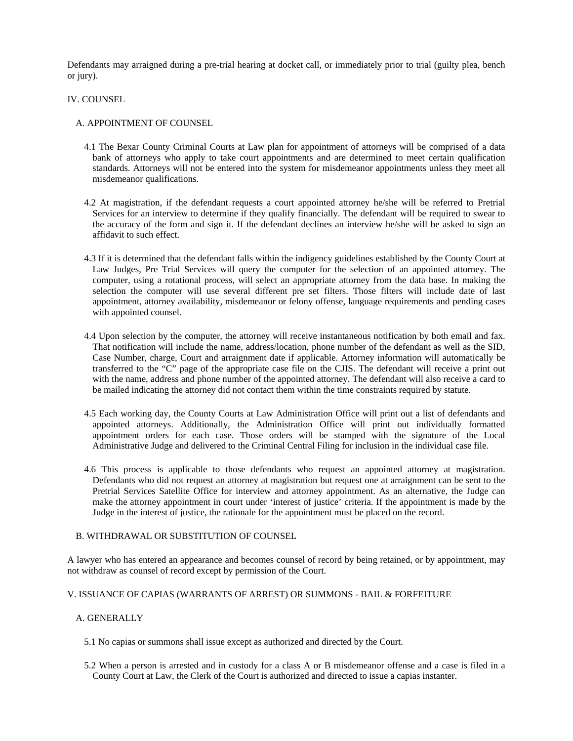Defendants may arraigned during a pre-trial hearing at docket call, or immediately prior to trial (guilty plea, bench or jury).

#### IV. COUNSEL

#### A. APPOINTMENT OF COUNSEL

- 4.1 The Bexar County Criminal Courts at Law plan for appointment of attorneys will be comprised of a data bank of attorneys who apply to take court appointments and are determined to meet certain qualification standards. Attorneys will not be entered into the system for misdemeanor appointments unless they meet all misdemeanor qualifications.
- 4.2 At magistration, if the defendant requests a court appointed attorney he/she will be referred to Pretrial Services for an interview to determine if they qualify financially. The defendant will be required to swear to the accuracy of the form and sign it. If the defendant declines an interview he/she will be asked to sign an affidavit to such effect.
- 4.3 If it is determined that the defendant falls within the indigency guidelines established by the County Court at Law Judges, Pre Trial Services will query the computer for the selection of an appointed attorney. The computer, using a rotational process, will select an appropriate attorney from the data base. In making the selection the computer will use several different pre set filters. Those filters will include date of last appointment, attorney availability, misdemeanor or felony offense, language requirements and pending cases with appointed counsel.
- 4.4 Upon selection by the computer, the attorney will receive instantaneous notification by both email and fax. That notification will include the name, address/location, phone number of the defendant as well as the SID, Case Number, charge, Court and arraignment date if applicable. Attorney information will automatically be transferred to the "C" page of the appropriate case file on the CJIS. The defendant will receive a print out with the name, address and phone number of the appointed attorney. The defendant will also receive a card to be mailed indicating the attorney did not contact them within the time constraints required by statute.
- 4.5 Each working day, the County Courts at Law Administration Office will print out a list of defendants and appointed attorneys. Additionally, the Administration Office will print out individually formatted appointment orders for each case. Those orders will be stamped with the signature of the Local Administrative Judge and delivered to the Criminal Central Filing for inclusion in the individual case file.
- 4.6 This process is applicable to those defendants who request an appointed attorney at magistration. Defendants who did not request an attorney at magistration but request one at arraignment can be sent to the Pretrial Services Satellite Office for interview and attorney appointment. As an alternative, the Judge can make the attorney appointment in court under 'interest of justice' criteria. If the appointment is made by the Judge in the interest of justice, the rationale for the appointment must be placed on the record.

#### B. WITHDRAWAL OR SUBSTITUTION OF COUNSEL

A lawyer who has entered an appearance and becomes counsel of record by being retained, or by appointment, may not withdraw as counsel of record except by permission of the Court.

# V. ISSUANCE OF CAPIAS (WARRANTS OF ARREST) OR SUMMONS - BAIL & FORFEITURE

# A. GENERALLY

- 5.1 No capias or summons shall issue except as authorized and directed by the Court.
- 5.2 When a person is arrested and in custody for a class A or B misdemeanor offense and a case is filed in a County Court at Law, the Clerk of the Court is authorized and directed to issue a capias instanter.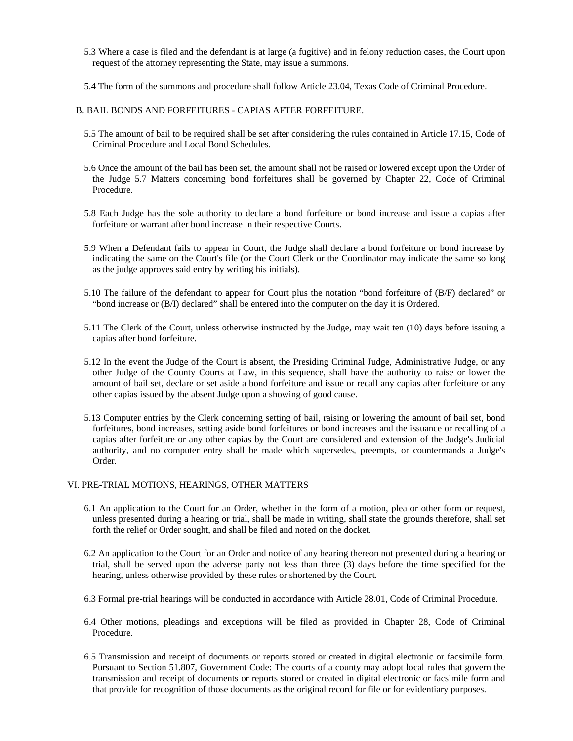- 5.3 Where a case is filed and the defendant is at large (a fugitive) and in felony reduction cases, the Court upon request of the attorney representing the State, may issue a summons.
- 5.4 The form of the summons and procedure shall follow Article 23.04, Texas Code of Criminal Procedure.
- B. BAIL BONDS AND FORFEITURES CAPIAS AFTER FORFEITURE.
	- 5.5 The amount of bail to be required shall be set after considering the rules contained in Article 17.15, Code of Criminal Procedure and Local Bond Schedules.
	- 5.6 Once the amount of the bail has been set, the amount shall not be raised or lowered except upon the Order of the Judge 5.7 Matters concerning bond forfeitures shall be governed by Chapter 22, Code of Criminal Procedure.
	- 5.8 Each Judge has the sole authority to declare a bond forfeiture or bond increase and issue a capias after forfeiture or warrant after bond increase in their respective Courts.
	- 5.9 When a Defendant fails to appear in Court, the Judge shall declare a bond forfeiture or bond increase by indicating the same on the Court's file (or the Court Clerk or the Coordinator may indicate the same so long as the judge approves said entry by writing his initials).
	- 5.10 The failure of the defendant to appear for Court plus the notation "bond forfeiture of (B/F) declared" or "bond increase or (B/I) declared" shall be entered into the computer on the day it is Ordered.
	- 5.11 The Clerk of the Court, unless otherwise instructed by the Judge, may wait ten (10) days before issuing a capias after bond forfeiture.
	- 5.12 In the event the Judge of the Court is absent, the Presiding Criminal Judge, Administrative Judge, or any other Judge of the County Courts at Law, in this sequence, shall have the authority to raise or lower the amount of bail set, declare or set aside a bond forfeiture and issue or recall any capias after forfeiture or any other capias issued by the absent Judge upon a showing of good cause.
	- 5.13 Computer entries by the Clerk concerning setting of bail, raising or lowering the amount of bail set, bond forfeitures, bond increases, setting aside bond forfeitures or bond increases and the issuance or recalling of a capias after forfeiture or any other capias by the Court are considered and extension of the Judge's Judicial authority, and no computer entry shall be made which supersedes, preempts, or countermands a Judge's Order.

### VI. PRE-TRIAL MOTIONS, HEARINGS, OTHER MATTERS

- 6.1 An application to the Court for an Order, whether in the form of a motion, plea or other form or request, unless presented during a hearing or trial, shall be made in writing, shall state the grounds therefore, shall set forth the relief or Order sought, and shall be filed and noted on the docket.
- 6.2 An application to the Court for an Order and notice of any hearing thereon not presented during a hearing or trial, shall be served upon the adverse party not less than three (3) days before the time specified for the hearing, unless otherwise provided by these rules or shortened by the Court.
- 6.3 Formal pre-trial hearings will be conducted in accordance with Article 28.01, Code of Criminal Procedure.
- 6.4 Other motions, pleadings and exceptions will be filed as provided in Chapter 28, Code of Criminal Procedure.
- 6.5 Transmission and receipt of documents or reports stored or created in digital electronic or facsimile form. Pursuant to Section 51.807, Government Code: The courts of a county may adopt local rules that govern the transmission and receipt of documents or reports stored or created in digital electronic or facsimile form and that provide for recognition of those documents as the original record for file or for evidentiary purposes.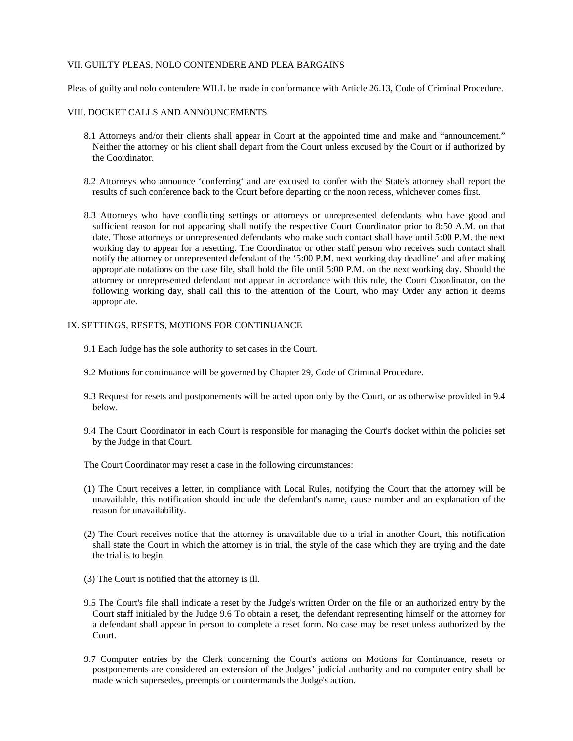#### VII. GUILTY PLEAS, NOLO CONTENDERE AND PLEA BARGAINS

Pleas of guilty and nolo contendere WILL be made in conformance with Article 26.13, Code of Criminal Procedure.

#### VIII. DOCKET CALLS AND ANNOUNCEMENTS

- 8.1 Attorneys and/or their clients shall appear in Court at the appointed time and make and "announcement." Neither the attorney or his client shall depart from the Court unless excused by the Court or if authorized by the Coordinator.
- 8.2 Attorneys who announce 'conferring' and are excused to confer with the State's attorney shall report the results of such conference back to the Court before departing or the noon recess, whichever comes first.
- 8.3 Attorneys who have conflicting settings or attorneys or unrepresented defendants who have good and sufficient reason for not appearing shall notify the respective Court Coordinator prior to 8:50 A.M. on that date. Those attorneys or unrepresented defendants who make such contact shall have until 5:00 P.M. the next working day to appear for a resetting. The Coordinator or other staff person who receives such contact shall notify the attorney or unrepresented defendant of the '5:00 P.M. next working day deadline' and after making appropriate notations on the case file, shall hold the file until 5:00 P.M. on the next working day. Should the attorney or unrepresented defendant not appear in accordance with this rule, the Court Coordinator, on the following working day, shall call this to the attention of the Court, who may Order any action it deems appropriate.

#### IX. SETTINGS, RESETS, MOTIONS FOR CONTINUANCE

- 9.1 Each Judge has the sole authority to set cases in the Court.
- 9.2 Motions for continuance will be governed by Chapter 29, Code of Criminal Procedure.
- 9.3 Request for resets and postponements will be acted upon only by the Court, or as otherwise provided in 9.4 below.
- 9.4 The Court Coordinator in each Court is responsible for managing the Court's docket within the policies set by the Judge in that Court.

The Court Coordinator may reset a case in the following circumstances:

- (1) The Court receives a letter, in compliance with Local Rules, notifying the Court that the attorney will be unavailable, this notification should include the defendant's name, cause number and an explanation of the reason for unavailability.
- (2) The Court receives notice that the attorney is unavailable due to a trial in another Court, this notification shall state the Court in which the attorney is in trial, the style of the case which they are trying and the date the trial is to begin.
- (3) The Court is notified that the attorney is ill.
- 9.5 The Court's file shall indicate a reset by the Judge's written Order on the file or an authorized entry by the Court staff initialed by the Judge 9.6 To obtain a reset, the defendant representing himself or the attorney for a defendant shall appear in person to complete a reset form. No case may be reset unless authorized by the Court.
- 9.7 Computer entries by the Clerk concerning the Court's actions on Motions for Continuance, resets or postponements are considered an extension of the Judges' judicial authority and no computer entry shall be made which supersedes, preempts or countermands the Judge's action.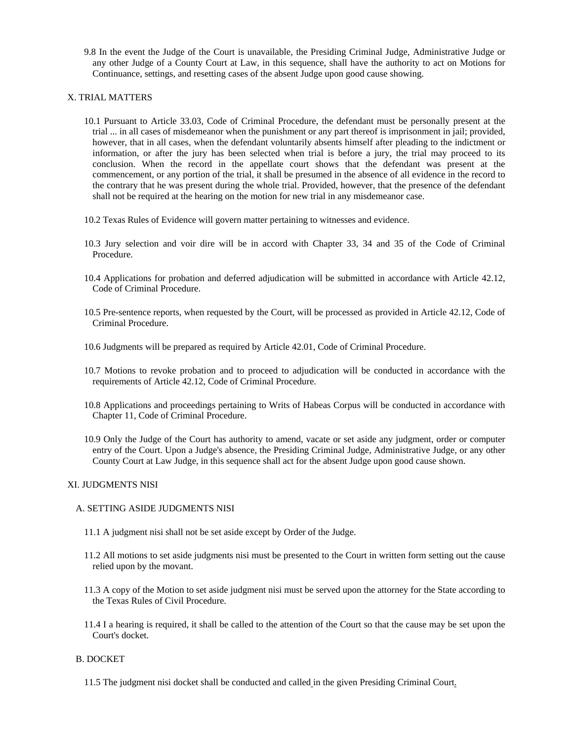9.8 In the event the Judge of the Court is unavailable, the Presiding Criminal Judge, Administrative Judge or any other Judge of a County Court at Law, in this sequence, shall have the authority to act on Motions for Continuance, settings, and resetting cases of the absent Judge upon good cause showing.

#### X. TRIAL MATTERS

- 10.1 Pursuant to Article 33.03, Code of Criminal Procedure, the defendant must be personally present at the trial ... in all cases of misdemeanor when the punishment or any part thereof is imprisonment in jail; provided, however, that in all cases, when the defendant voluntarily absents himself after pleading to the indictment or information, or after the jury has been selected when trial is before a jury, the trial may proceed to its conclusion. When the record in the appellate court shows that the defendant was present at the commencement, or any portion of the trial, it shall be presumed in the absence of all evidence in the record to the contrary that he was present during the whole trial. Provided, however, that the presence of the defendant shall not be required at the hearing on the motion for new trial in any misdemeanor case.
- 10.2 Texas Rules of Evidence will govern matter pertaining to witnesses and evidence.
- 10.3 Jury selection and voir dire will be in accord with Chapter 33, 34 and 35 of the Code of Criminal Procedure.
- 10.4 Applications for probation and deferred adjudication will be submitted in accordance with Article 42.12, Code of Criminal Procedure.
- 10.5 Pre-sentence reports, when requested by the Court, will be processed as provided in Article 42.12, Code of Criminal Procedure.
- 10.6 Judgments will be prepared as required by Article 42.01, Code of Criminal Procedure.
- 10.7 Motions to revoke probation and to proceed to adjudication will be conducted in accordance with the requirements of Article 42.12, Code of Criminal Procedure.
- 10.8 Applications and proceedings pertaining to Writs of Habeas Corpus will be conducted in accordance with Chapter 11, Code of Criminal Procedure.
- 10.9 Only the Judge of the Court has authority to amend, vacate or set aside any judgment, order or computer entry of the Court. Upon a Judge's absence, the Presiding Criminal Judge, Administrative Judge, or any other County Court at Law Judge, in this sequence shall act for the absent Judge upon good cause shown.

# XI. JUDGMENTS NISI

#### A. SETTING ASIDE JUDGMENTS NISI

- 11.1 A judgment nisi shall not be set aside except by Order of the Judge.
- 11.2 All motions to set aside judgments nisi must be presented to the Court in written form setting out the cause relied upon by the movant.
- 11.3 A copy of the Motion to set aside judgment nisi must be served upon the attorney for the State according to the Texas Rules of Civil Procedure.
- 11.4 I a hearing is required, it shall be called to the attention of the Court so that the cause may be set upon the Court's docket.

# B. DOCKET

11.5 The judgment nisi docket shall be conducted and called in the given Presiding Criminal Court.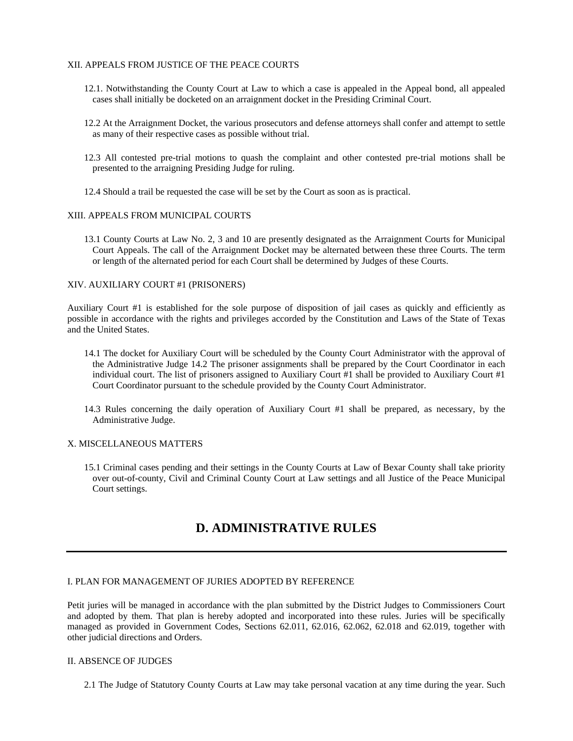#### XII. APPEALS FROM JUSTICE OF THE PEACE COURTS

- 12.1. Notwithstanding the County Court at Law to which a case is appealed in the Appeal bond, all appealed cases shall initially be docketed on an arraignment docket in the Presiding Criminal Court.
- 12.2 At the Arraignment Docket, the various prosecutors and defense attorneys shall confer and attempt to settle as many of their respective cases as possible without trial.
- 12.3 All contested pre-trial motions to quash the complaint and other contested pre-trial motions shall be presented to the arraigning Presiding Judge for ruling.
- 12.4 Should a trail be requested the case will be set by the Court as soon as is practical.

#### XIII. APPEALS FROM MUNICIPAL COURTS

13.1 County Courts at Law No. 2, 3 and 10 are presently designated as the Arraignment Courts for Municipal Court Appeals. The call of the Arraignment Docket may be alternated between these three Courts. The term or length of the alternated period for each Court shall be determined by Judges of these Courts.

#### XIV. AUXILIARY COURT #1 (PRISONERS)

Auxiliary Court #1 is established for the sole purpose of disposition of jail cases as quickly and efficiently as possible in accordance with the rights and privileges accorded by the Constitution and Laws of the State of Texas and the United States.

- 14.1 The docket for Auxiliary Court will be scheduled by the County Court Administrator with the approval of the Administrative Judge 14.2 The prisoner assignments shall be prepared by the Court Coordinator in each individual court. The list of prisoners assigned to Auxiliary Court #1 shall be provided to Auxiliary Court #1 Court Coordinator pursuant to the schedule provided by the County Court Administrator.
- 14.3 Rules concerning the daily operation of Auxiliary Court #1 shall be prepared, as necessary, by the Administrative Judge.

#### X. MISCELLANEOUS MATTERS

15.1 Criminal cases pending and their settings in the County Courts at Law of Bexar County shall take priority over out-of-county, Civil and Criminal County Court at Law settings and all Justice of the Peace Municipal Court settings.

# **D. ADMINISTRATIVE RULES**

# I. PLAN FOR MANAGEMENT OF JURIES ADOPTED BY REFERENCE

Petit juries will be managed in accordance with the plan submitted by the District Judges to Commissioners Court and adopted by them. That plan is hereby adopted and incorporated into these rules. Juries will be specifically managed as provided in Government Codes, Sections 62.011, 62.016, 62.062, 62.018 and 62.019, together with other judicial directions and Orders.

#### II. ABSENCE OF JUDGES

2.1 The Judge of Statutory County Courts at Law may take personal vacation at any time during the year. Such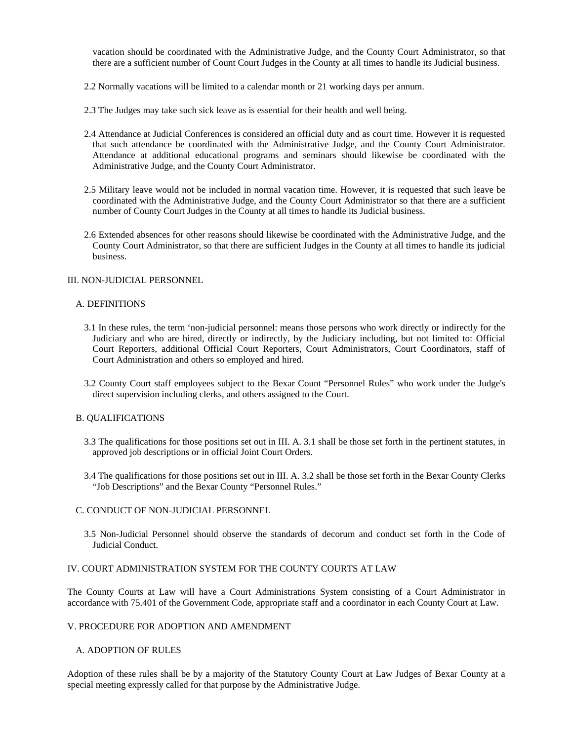vacation should be coordinated with the Administrative Judge, and the County Court Administrator, so that there are a sufficient number of Count Court Judges in the County at all times to handle its Judicial business.

- 2.2 Normally vacations will be limited to a calendar month or 21 working days per annum.
- 2.3 The Judges may take such sick leave as is essential for their health and well being.
- 2.4 Attendance at Judicial Conferences is considered an official duty and as court time. However it is requested that such attendance be coordinated with the Administrative Judge, and the County Court Administrator. Attendance at additional educational programs and seminars should likewise be coordinated with the Administrative Judge, and the County Court Administrator.
- 2.5 Military leave would not be included in normal vacation time. However, it is requested that such leave be coordinated with the Administrative Judge, and the County Court Administrator so that there are a sufficient number of County Court Judges in the County at all times to handle its Judicial business.
- 2.6 Extended absences for other reasons should likewise be coordinated with the Administrative Judge, and the County Court Administrator, so that there are sufficient Judges in the County at all times to handle its judicial business.

#### III. NON-JUDICIAL PERSONNEL

#### A. DEFINITIONS

- 3.1 In these rules, the term 'non-judicial personnel: means those persons who work directly or indirectly for the Judiciary and who are hired, directly or indirectly, by the Judiciary including, but not limited to: Official Court Reporters, additional Official Court Reporters, Court Administrators, Court Coordinators, staff of Court Administration and others so employed and hired.
- 3.2 County Court staff employees subject to the Bexar Count "Personnel Rules" who work under the Judge's direct supervision including clerks, and others assigned to the Court.

#### B. QUALIFICATIONS

- 3.3 The qualifications for those positions set out in III. A. 3.1 shall be those set forth in the pertinent statutes, in approved job descriptions or in official Joint Court Orders.
- 3.4 The qualifications for those positions set out in III. A. 3.2 shall be those set forth in the Bexar County Clerks "Job Descriptions" and the Bexar County "Personnel Rules."

#### C. CONDUCT OF NON-JUDICIAL PERSONNEL

3.5 Non-Judicial Personnel should observe the standards of decorum and conduct set forth in the Code of Judicial Conduct.

# IV. COURT ADMINISTRATION SYSTEM FOR THE COUNTY COURTS AT LAW

The County Courts at Law will have a Court Administrations System consisting of a Court Administrator in accordance with 75.401 of the Government Code, appropriate staff and a coordinator in each County Court at Law.

#### V. PROCEDURE FOR ADOPTION AND AMENDMENT

#### A. ADOPTION OF RULES

Adoption of these rules shall be by a majority of the Statutory County Court at Law Judges of Bexar County at a special meeting expressly called for that purpose by the Administrative Judge.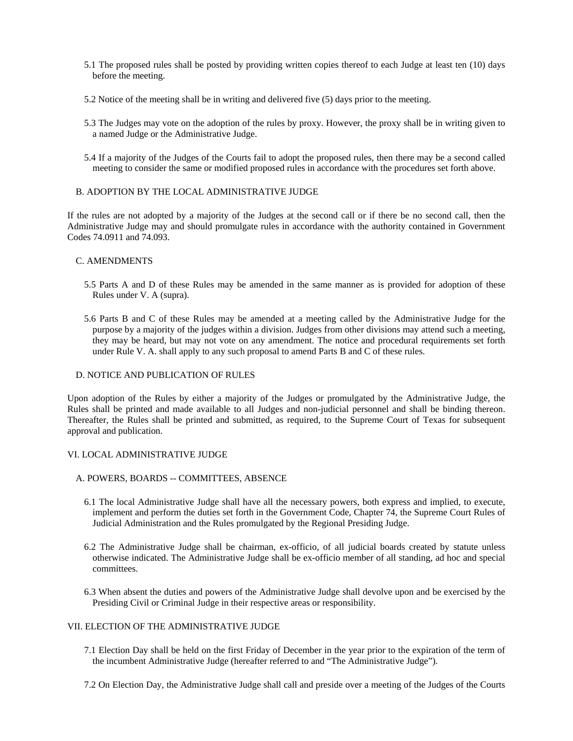- 5.1 The proposed rules shall be posted by providing written copies thereof to each Judge at least ten (10) days before the meeting.
- 5.2 Notice of the meeting shall be in writing and delivered five (5) days prior to the meeting.
- 5.3 The Judges may vote on the adoption of the rules by proxy. However, the proxy shall be in writing given to a named Judge or the Administrative Judge.
- 5.4 If a majority of the Judges of the Courts fail to adopt the proposed rules, then there may be a second called meeting to consider the same or modified proposed rules in accordance with the procedures set forth above.

#### B. ADOPTION BY THE LOCAL ADMINISTRATIVE JUDGE

If the rules are not adopted by a majority of the Judges at the second call or if there be no second call, then the Administrative Judge may and should promulgate rules in accordance with the authority contained in Government Codes 74.0911 and 74.093.

#### C. AMENDMENTS

- 5.5 Parts A and D of these Rules may be amended in the same manner as is provided for adoption of these Rules under V. A (supra).
- 5.6 Parts B and C of these Rules may be amended at a meeting called by the Administrative Judge for the purpose by a majority of the judges within a division. Judges from other divisions may attend such a meeting, they may be heard, but may not vote on any amendment. The notice and procedural requirements set forth under Rule V. A. shall apply to any such proposal to amend Parts B and C of these rules.

#### D. NOTICE AND PUBLICATION OF RULES

Upon adoption of the Rules by either a majority of the Judges or promulgated by the Administrative Judge, the Rules shall be printed and made available to all Judges and non-judicial personnel and shall be binding thereon. Thereafter, the Rules shall be printed and submitted, as required, to the Supreme Court of Texas for subsequent approval and publication.

#### VI. LOCAL ADMINISTRATIVE JUDGE

- A. POWERS, BOARDS -- COMMITTEES, ABSENCE
	- 6.1 The local Administrative Judge shall have all the necessary powers, both express and implied, to execute, implement and perform the duties set forth in the Government Code, Chapter 74, the Supreme Court Rules of Judicial Administration and the Rules promulgated by the Regional Presiding Judge.
	- 6.2 The Administrative Judge shall be chairman, ex-officio, of all judicial boards created by statute unless otherwise indicated. The Administrative Judge shall be ex-officio member of all standing, ad hoc and special committees.
	- 6.3 When absent the duties and powers of the Administrative Judge shall devolve upon and be exercised by the Presiding Civil or Criminal Judge in their respective areas or responsibility.

#### VII. ELECTION OF THE ADMINISTRATIVE JUDGE

- 7.1 Election Day shall be held on the first Friday of December in the year prior to the expiration of the term of the incumbent Administrative Judge (hereafter referred to and "The Administrative Judge").
- 7.2 On Election Day, the Administrative Judge shall call and preside over a meeting of the Judges of the Courts